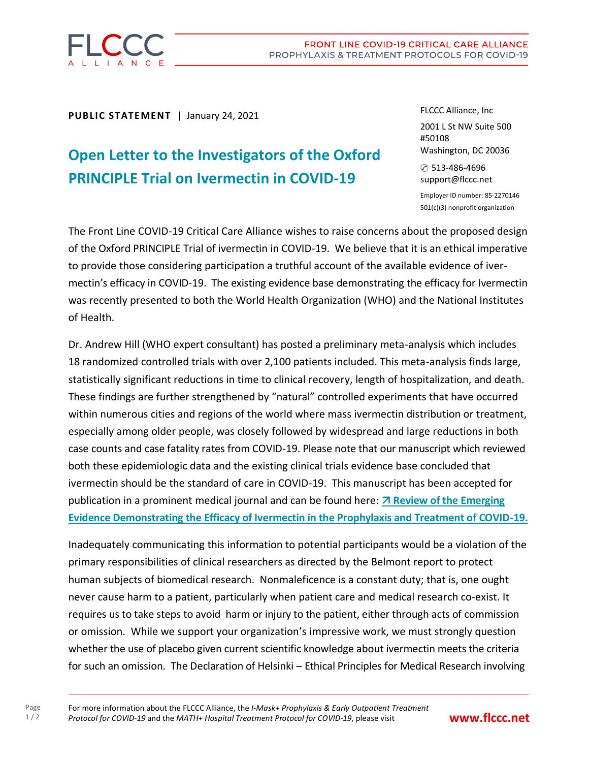

**PUBLIC STATEMENT** | January 24, 2021

## **Open Letter to the Investigators of the Oxford PRINCIPLE Trial on Ivermectin in COVID-19**

FLCCC Alliance, Inc 2001 L St NW Suite 500 #50108 Washington, DC 20036 ✆ 513-486-4696 support@flccc.net

Employer ID number: 85-2270146 501(c)(3) nonprofit organization

The Front Line COVID-19 Critical Care Alliance wishes to raise concerns about the proposed design of the Oxford PRINCIPLE Trial of ivermectin in COVID-19. We believe that it is an ethical imperative to provide those considering participation a truthful account of the available evidence of ivermectin's efficacy in COVID-19. The existing evidence base demonstrating the efficacy for Ivermectin was recently presented to both the World Health Organization (WHO) and the National Institutes of Health.

Dr. Andrew Hill (WHO expert consultant) has posted a preliminary meta-analysis which includes 18 randomized controlled trials with over 2,100 patients included. This meta-analysis finds large, statistically significant reductions in time to clinical recovery, length of hospitalization, and death. These findings are further strengthened by "natural" controlled experiments that have occurred within numerous cities and regions of the world where mass ivermectin distribution or treatment, especially among older people, was closely followed by widespread and large reductions in both case counts and case fatality rates from COVID-19. Please note that our manuscript which reviewed both these epidemiologic data and the existing clinical trials evidence base concluded that ivermectin should be the standard of care in COVID-19. This manuscript has been accepted for publication in a prominent medical journal and can be found here: *A* **Review of the Emerging [Evidence Demonstrating the Efficacy of Ivermectin in the Prophylaxis and Treatment of COVID-19.](https://covid19criticalcare.com/flccc-ivermectin-in-the-prophylaxis-and-treatment-of-covid-19/)**

Inadequately communicating this information to potential participants would be a violation of the primary responsibilities of clinical researchers as directed by the Belmont report to protect human subjects of biomedical research. Nonmaleficence is a constant duty; that is, one ought never cause harm to a patient, particularly when patient care and medical research co-exist. It requires us to take steps to avoid harm or injury to the patient, either through acts of commission or omission. While we support your organization's impressive work, we must strongly question whether the use of placebo given current scientific knowledge about ivermectin meets the criteria for such an omission. The Declaration of Helsinki – Ethical Principles for Medical Research involving